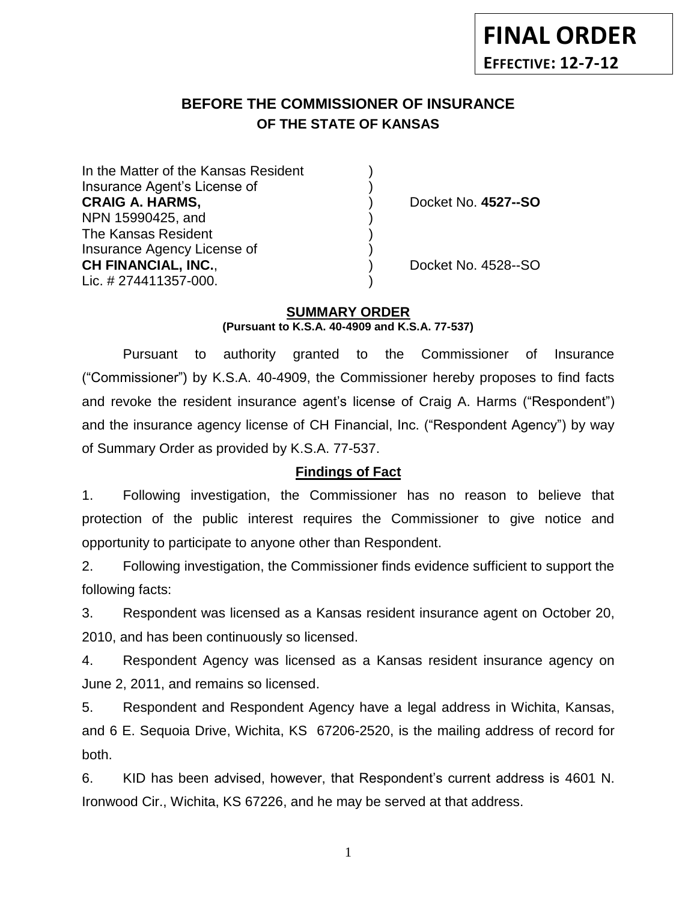#### **BEFORE THE COMMISSIONER OF INSURANCE OF THE STATE OF KANSAS** *-12*

In the Matter of the Kansas Resident Insurance Agent's License of ) **CRAIG A. HARMS,** ) Docket No. **4527--SO** NPN 15990425, and ) The Kansas Resident ) Insurance Agency License of ) **CH FINANCIAL, INC.**, ) Docket No. 4528--SO Lic. # 274411357-000.

## **SUMMARY ORDER**

**(Pursuant to K.S.A. 40-4909 and K.S.A. 77-537)**

Pursuant to authority granted to the Commissioner of Insurance ("Commissioner") by K.S.A. 40-4909, the Commissioner hereby proposes to find facts and revoke the resident insurance agent's license of Craig A. Harms ("Respondent") and the insurance agency license of CH Financial, Inc. ("Respondent Agency") by way of Summary Order as provided by K.S.A. 77-537.

## **Findings of Fact**

1. Following investigation, the Commissioner has no reason to believe that protection of the public interest requires the Commissioner to give notice and opportunity to participate to anyone other than Respondent.

2. Following investigation, the Commissioner finds evidence sufficient to support the following facts:

3. Respondent was licensed as a Kansas resident insurance agent on October 20, 2010, and has been continuously so licensed.

4. Respondent Agency was licensed as a Kansas resident insurance agency on June 2, 2011, and remains so licensed.

5. Respondent and Respondent Agency have a legal address in Wichita, Kansas, and 6 E. Sequoia Drive, Wichita, KS 67206-2520, is the mailing address of record for both.

6. KID has been advised, however, that Respondent's current address is 4601 N. Ironwood Cir., Wichita, KS 67226, and he may be served at that address.

1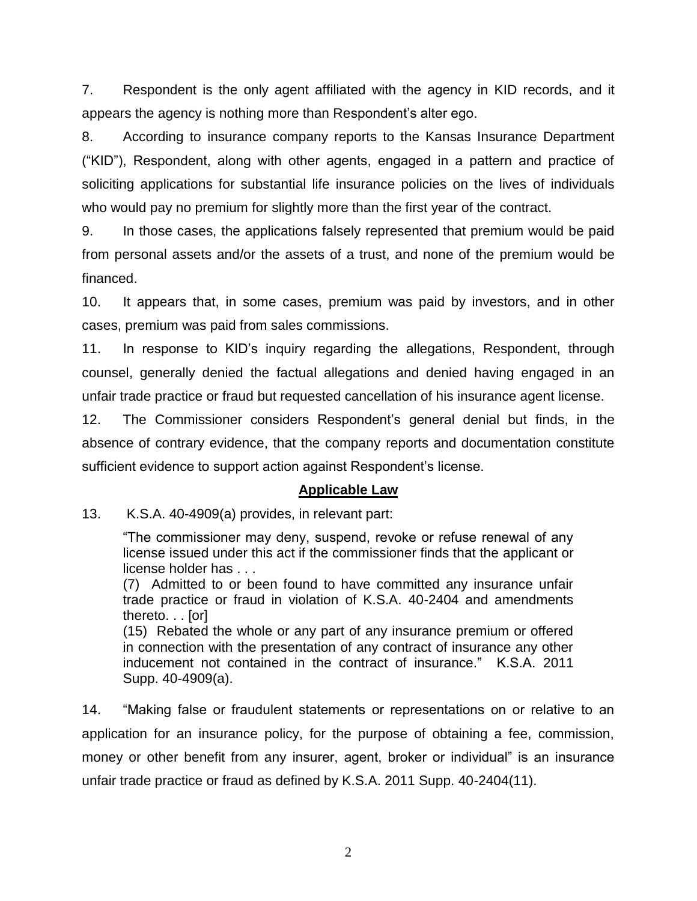7. Respondent is the only agent affiliated with the agency in KID records, and it appears the agency is nothing more than Respondent's alter ego.

8. According to insurance company reports to the Kansas Insurance Department ("KID"), Respondent, along with other agents, engaged in a pattern and practice of soliciting applications for substantial life insurance policies on the lives of individuals who would pay no premium for slightly more than the first year of the contract.

9. In those cases, the applications falsely represented that premium would be paid from personal assets and/or the assets of a trust, and none of the premium would be financed.

10. It appears that, in some cases, premium was paid by investors, and in other cases, premium was paid from sales commissions.

11. In response to KID's inquiry regarding the allegations, Respondent, through counsel, generally denied the factual allegations and denied having engaged in an unfair trade practice or fraud but requested cancellation of his insurance agent license.

12. The Commissioner considers Respondent's general denial but finds, in the absence of contrary evidence, that the company reports and documentation constitute sufficient evidence to support action against Respondent's license.

## **Applicable Law**

13. K.S.A. 40-4909(a) provides, in relevant part:

"The commissioner may deny, suspend, revoke or refuse renewal of any license issued under this act if the commissioner finds that the applicant or license holder has . . .

(7) Admitted to or been found to have committed any insurance unfair trade practice or fraud in violation of K.S.A. 40-2404 and amendments thereto. . . [or]

(15) Rebated the whole or any part of any insurance premium or offered in connection with the presentation of any contract of insurance any other inducement not contained in the contract of insurance." K.S.A. 2011 Supp. 40-4909(a).

14. "Making false or fraudulent statements or representations on or relative to an application for an insurance policy, for the purpose of obtaining a fee, commission, money or other benefit from any insurer, agent, broker or individual" is an insurance unfair trade practice or fraud as defined by K.S.A. 2011 Supp. 40-2404(11).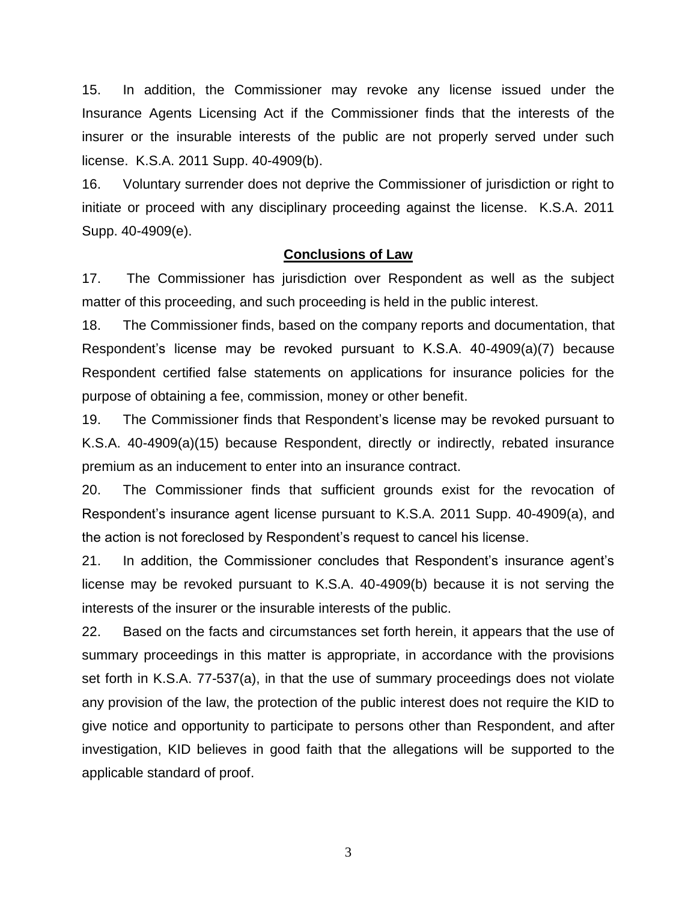15. In addition, the Commissioner may revoke any license issued under the Insurance Agents Licensing Act if the Commissioner finds that the interests of the insurer or the insurable interests of the public are not properly served under such license. K.S.A. 2011 Supp. 40-4909(b).

16. Voluntary surrender does not deprive the Commissioner of jurisdiction or right to initiate or proceed with any disciplinary proceeding against the license. K.S.A. 2011 Supp. 40-4909(e).

#### **Conclusions of Law**

17. The Commissioner has jurisdiction over Respondent as well as the subject matter of this proceeding, and such proceeding is held in the public interest.

18. The Commissioner finds, based on the company reports and documentation, that Respondent's license may be revoked pursuant to K.S.A. 40-4909(a)(7) because Respondent certified false statements on applications for insurance policies for the purpose of obtaining a fee, commission, money or other benefit.

19. The Commissioner finds that Respondent's license may be revoked pursuant to K.S.A. 40-4909(a)(15) because Respondent, directly or indirectly, rebated insurance premium as an inducement to enter into an insurance contract.

20. The Commissioner finds that sufficient grounds exist for the revocation of Respondent's insurance agent license pursuant to K.S.A. 2011 Supp. 40-4909(a), and the action is not foreclosed by Respondent's request to cancel his license.

21. In addition, the Commissioner concludes that Respondent's insurance agent's license may be revoked pursuant to K.S.A. 40-4909(b) because it is not serving the interests of the insurer or the insurable interests of the public.

22. Based on the facts and circumstances set forth herein, it appears that the use of summary proceedings in this matter is appropriate, in accordance with the provisions set forth in K.S.A. 77-537(a), in that the use of summary proceedings does not violate any provision of the law, the protection of the public interest does not require the KID to give notice and opportunity to participate to persons other than Respondent, and after investigation, KID believes in good faith that the allegations will be supported to the applicable standard of proof.

3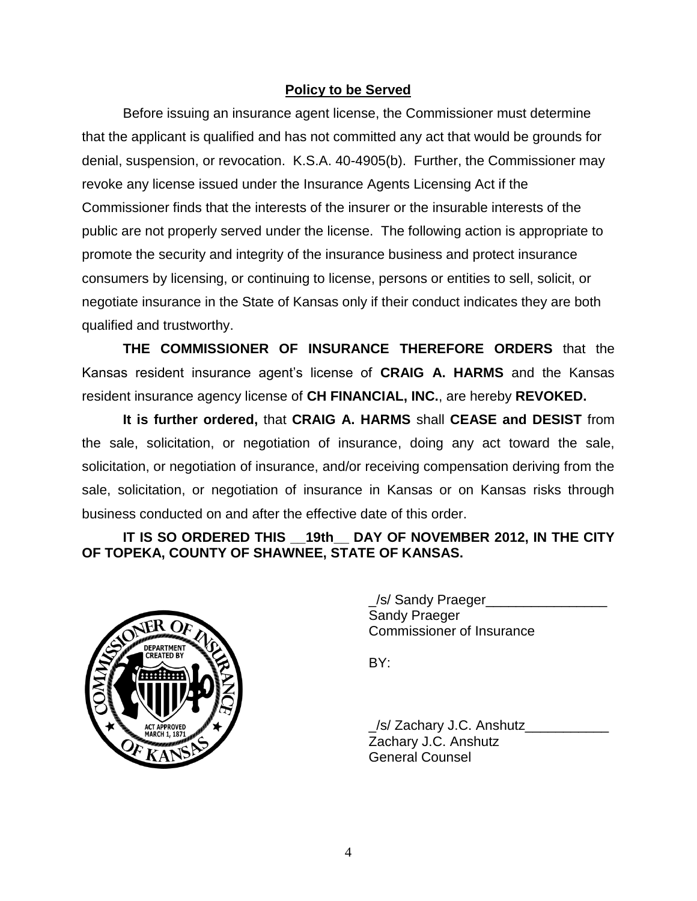## **Policy to be Served**

Before issuing an insurance agent license, the Commissioner must determine that the applicant is qualified and has not committed any act that would be grounds for denial, suspension, or revocation. K.S.A. 40-4905(b). Further, the Commissioner may revoke any license issued under the Insurance Agents Licensing Act if the Commissioner finds that the interests of the insurer or the insurable interests of the public are not properly served under the license. The following action is appropriate to promote the security and integrity of the insurance business and protect insurance consumers by licensing, or continuing to license, persons or entities to sell, solicit, or negotiate insurance in the State of Kansas only if their conduct indicates they are both qualified and trustworthy.

**THE COMMISSIONER OF INSURANCE THEREFORE ORDERS** that the Kansas resident insurance agent's license of **CRAIG A. HARMS** and the Kansas resident insurance agency license of **CH FINANCIAL, INC.**, are hereby **REVOKED.**

**It is further ordered,** that **CRAIG A. HARMS** shall **CEASE and DESIST** from the sale, solicitation, or negotiation of insurance, doing any act toward the sale, solicitation, or negotiation of insurance, and/or receiving compensation deriving from the sale, solicitation, or negotiation of insurance in Kansas or on Kansas risks through business conducted on and after the effective date of this order.

# **IT IS SO ORDERED THIS \_\_19th\_\_ DAY OF NOVEMBER 2012, IN THE CITY OF TOPEKA, COUNTY OF SHAWNEE, STATE OF KANSAS.**



\_/s/ Sandy Praeger\_\_\_\_\_\_\_\_\_\_\_\_\_\_\_\_ Sandy Praeger Commissioner of Insurance

BY:

\_/s/ Zachary J.C. Anshutz\_\_\_\_\_\_\_\_\_\_\_ Zachary J.C. Anshutz General Counsel